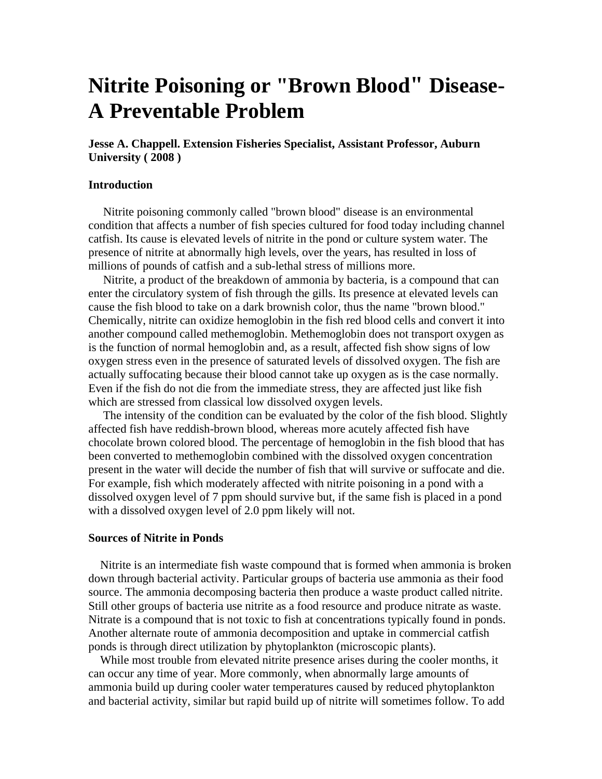# **Nitrite Poisoning or "Brown Blood" Disease-A Preventable Problem**

**Jesse A. Chappell. Extension Fisheries Specialist, Assistant Professor, Auburn University ( 2008 )** 

# **Introduction**

 Nitrite poisoning commonly called "brown blood" disease is an environmental condition that affects a number of fish species cultured for food today including channel catfish. Its cause is elevated levels of nitrite in the pond or culture system water. The presence of nitrite at abnormally high levels, over the years, has resulted in loss of millions of pounds of catfish and a sub-lethal stress of millions more.

 Nitrite, a product of the breakdown of ammonia by bacteria, is a compound that can enter the circulatory system of fish through the gills. Its presence at elevated levels can cause the fish blood to take on a dark brownish color, thus the name "brown blood." Chemically, nitrite can oxidize hemoglobin in the fish red blood cells and convert it into another compound called methemoglobin. Methemoglobin does not transport oxygen as is the function of normal hemoglobin and, as a result, affected fish show signs of low oxygen stress even in the presence of saturated levels of dissolved oxygen. The fish are actually suffocating because their blood cannot take up oxygen as is the case normally. Even if the fish do not die from the immediate stress, they are affected just like fish which are stressed from classical low dissolved oxygen levels.

 The intensity of the condition can be evaluated by the color of the fish blood. Slightly affected fish have reddish-brown blood, whereas more acutely affected fish have chocolate brown colored blood. The percentage of hemoglobin in the fish blood that has been converted to methemoglobin combined with the dissolved oxygen concentration present in the water will decide the number of fish that will survive or suffocate and die. For example, fish which moderately affected with nitrite poisoning in a pond with a dissolved oxygen level of 7 ppm should survive but, if the same fish is placed in a pond with a dissolved oxygen level of 2.0 ppm likely will not.

#### **Sources of Nitrite in Ponds**

 Nitrite is an intermediate fish waste compound that is formed when ammonia is broken down through bacterial activity. Particular groups of bacteria use ammonia as their food source. The ammonia decomposing bacteria then produce a waste product called nitrite. Still other groups of bacteria use nitrite as a food resource and produce nitrate as waste. Nitrate is a compound that is not toxic to fish at concentrations typically found in ponds. Another alternate route of ammonia decomposition and uptake in commercial catfish ponds is through direct utilization by phytoplankton (microscopic plants).

 While most trouble from elevated nitrite presence arises during the cooler months, it can occur any time of year. More commonly, when abnormally large amounts of ammonia build up during cooler water temperatures caused by reduced phytoplankton and bacterial activity, similar but rapid build up of nitrite will sometimes follow. To add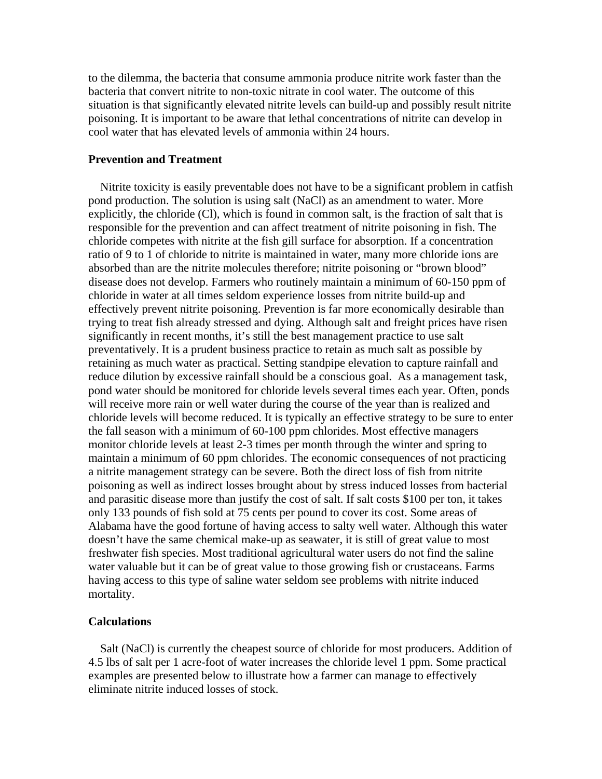to the dilemma, the bacteria that consume ammonia produce nitrite work faster than the bacteria that convert nitrite to non-toxic nitrate in cool water. The outcome of this situation is that significantly elevated nitrite levels can build-up and possibly result nitrite poisoning. It is important to be aware that lethal concentrations of nitrite can develop in cool water that has elevated levels of ammonia within 24 hours.

## **Prevention and Treatment**

 Nitrite toxicity is easily preventable does not have to be a significant problem in catfish pond production. The solution is using salt (NaCl) as an amendment to water. More explicitly, the chloride (Cl), which is found in common salt, is the fraction of salt that is responsible for the prevention and can affect treatment of nitrite poisoning in fish. The chloride competes with nitrite at the fish gill surface for absorption. If a concentration ratio of 9 to 1 of chloride to nitrite is maintained in water, many more chloride ions are absorbed than are the nitrite molecules therefore; nitrite poisoning or "brown blood" disease does not develop. Farmers who routinely maintain a minimum of 60-150 ppm of chloride in water at all times seldom experience losses from nitrite build-up and effectively prevent nitrite poisoning. Prevention is far more economically desirable than trying to treat fish already stressed and dying. Although salt and freight prices have risen significantly in recent months, it's still the best management practice to use salt preventatively. It is a prudent business practice to retain as much salt as possible by retaining as much water as practical. Setting standpipe elevation to capture rainfall and reduce dilution by excessive rainfall should be a conscious goal. As a management task, pond water should be monitored for chloride levels several times each year. Often, ponds will receive more rain or well water during the course of the year than is realized and chloride levels will become reduced. It is typically an effective strategy to be sure to enter the fall season with a minimum of 60-100 ppm chlorides. Most effective managers monitor chloride levels at least 2-3 times per month through the winter and spring to maintain a minimum of 60 ppm chlorides. The economic consequences of not practicing a nitrite management strategy can be severe. Both the direct loss of fish from nitrite poisoning as well as indirect losses brought about by stress induced losses from bacterial and parasitic disease more than justify the cost of salt. If salt costs \$100 per ton, it takes only 133 pounds of fish sold at 75 cents per pound to cover its cost. Some areas of Alabama have the good fortune of having access to salty well water. Although this water doesn't have the same chemical make-up as seawater, it is still of great value to most freshwater fish species. Most traditional agricultural water users do not find the saline water valuable but it can be of great value to those growing fish or crustaceans. Farms having access to this type of saline water seldom see problems with nitrite induced mortality.

# **Calculations**

 Salt (NaCl) is currently the cheapest source of chloride for most producers. Addition of 4.5 lbs of salt per 1 acre-foot of water increases the chloride level 1 ppm. Some practical examples are presented below to illustrate how a farmer can manage to effectively eliminate nitrite induced losses of stock.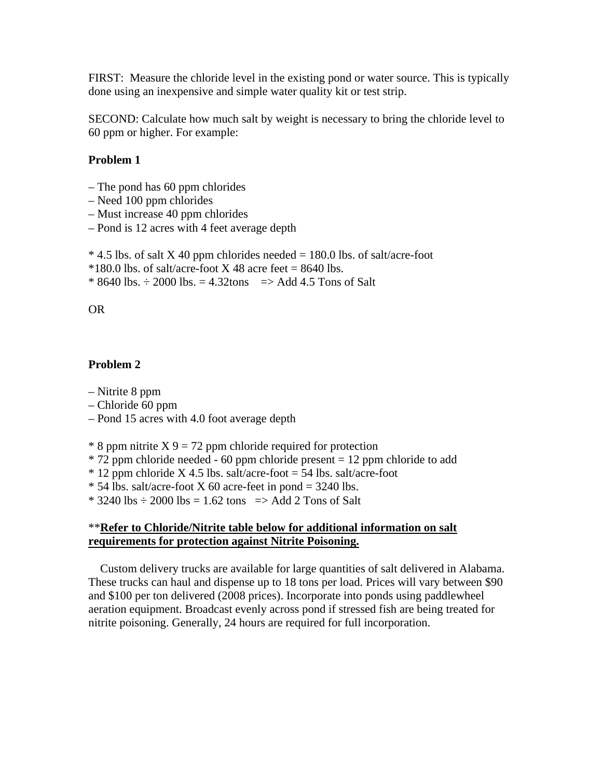FIRST: Measure the chloride level in the existing pond or water source. This is typically done using an inexpensive and simple water quality kit or test strip.

SECOND: Calculate how much salt by weight is necessary to bring the chloride level to 60 ppm or higher. For example:

# **Problem 1**

- The pond has 60 ppm chlorides
- Need 100 ppm chlorides
- Must increase 40 ppm chlorides
- Pond is 12 acres with 4 feet average depth

 $*$  4.5 lbs. of salt X 40 ppm chlorides needed = 180.0 lbs. of salt/acre-foot

 $*180.0$  lbs. of salt/acre-foot X 48 acre feet = 8640 lbs.

 $*$  8640 lbs.  $\div$  2000 lbs. = 4.32tons => Add 4.5 Tons of Salt

#### OR

## **Problem 2**

- Nitrite 8 ppm
- Chloride 60 ppm
- Pond 15 acres with 4.0 foot average depth

 $*$  8 ppm nitrite X 9 = 72 ppm chloride required for protection

- $*$  72 ppm chloride needed 60 ppm chloride present = 12 ppm chloride to add
- $*$  12 ppm chloride X 4.5 lbs. salt/acre-foot = 54 lbs. salt/acre-foot
- $*$  54 lbs. salt/acre-foot X 60 acre-feet in pond = 3240 lbs.

 $*$  3240 lbs  $\div$  2000 lbs = 1.62 tons => Add 2 Tons of Salt

# \*\***Refer to Chloride/Nitrite table below for additional information on salt requirements for protection against Nitrite Poisoning.**

 Custom delivery trucks are available for large quantities of salt delivered in Alabama. These trucks can haul and dispense up to 18 tons per load. Prices will vary between \$90 and \$100 per ton delivered (2008 prices). Incorporate into ponds using paddlewheel aeration equipment. Broadcast evenly across pond if stressed fish are being treated for nitrite poisoning. Generally, 24 hours are required for full incorporation.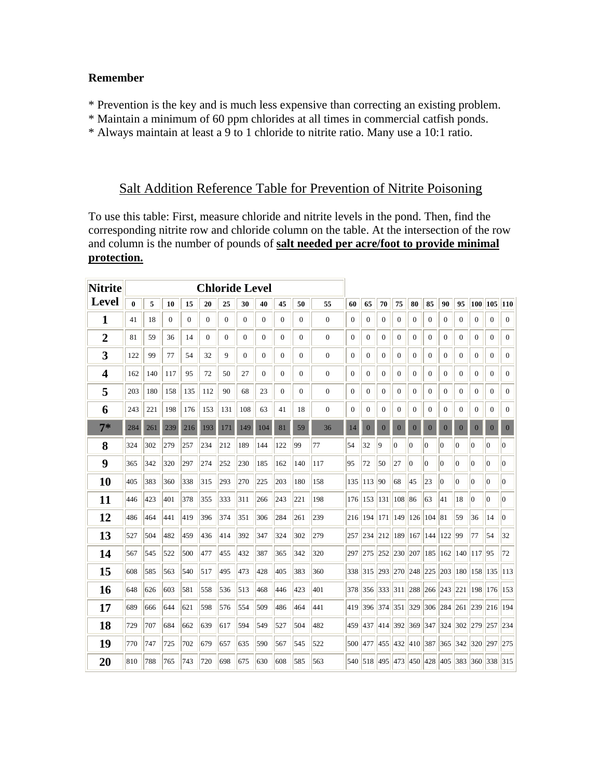# **Remember**

- \* Prevention is the key and is much less expensive than correcting an existing problem.
- \* Maintain a minimum of 60 ppm chlorides at all times in commercial catfish ponds.
- \* Always maintain at least a 9 to 1 chloride to nitrite ratio. Many use a 10:1 ratio.

# Salt Addition Reference Table for Prevention of Nitrite Poisoning

To use this table: First, measure chloride and nitrite levels in the pond. Then, find the corresponding nitrite row and chloride column on the table. At the intersection of the row and column is the number of pounds of **salt needed per acre/foot to provide minimal protection.**

| <b>Nitrite</b> | <b>Chloride Level</b> |     |              |                |              |                |                  |                |                  |                  |                  |                  |              |                 |                  |                 |                                     |                |                |                  |                                             |                |
|----------------|-----------------------|-----|--------------|----------------|--------------|----------------|------------------|----------------|------------------|------------------|------------------|------------------|--------------|-----------------|------------------|-----------------|-------------------------------------|----------------|----------------|------------------|---------------------------------------------|----------------|
| Level          | $\bf{0}$              | 5   | 10           | 15             | 20           | 25             | 30               | 40             | 45               | 50               | 55               | 60               | 65           | 70              | 75               | 80              | 85                                  | 90             | 95             |                  | 100 105 110                                 |                |
| 1              | 41                    | 18  | $\mathbf{0}$ | $\overline{0}$ | $\mathbf{0}$ | $\overline{0}$ | $\mathbf{0}$     | 0              | $\mathbf{0}$     | $\mathbf{0}$     | $\overline{0}$   | $\mathbf{0}$     | $\Omega$     | $\mathbf{0}$    | $\mathbf{0}$     | $\mathbf{0}$    | $\Omega$                            | $\mathbf{0}$   | $\Omega$       | $\theta$         | $\Omega$                                    | $\theta$       |
| $\overline{2}$ | 81                    | 59  | 36           | 14             | $\mathbf{0}$ | $\overline{0}$ | $\boldsymbol{0}$ | 0              | $\boldsymbol{0}$ | $\mathbf{0}$     | $\boldsymbol{0}$ | $\boldsymbol{0}$ | $\mathbf{0}$ | $\mathbf{0}$    | $\mathbf{0}$     | $\mathbf{0}$    | $\mathbf{0}$                        | $\mathbf{0}$   | $\mathbf{0}$   | $\overline{0}$   | $\mathbf{0}$                                | $\mathbf{0}$   |
| 3              | 122                   | 99  | 77           | 54             | 32           | 9              | $\mathbf{0}$     | 0              | $\boldsymbol{0}$ | $\overline{0}$   | $\mathbf{0}$     | $\boldsymbol{0}$ | $\mathbf{0}$ | $\mathbf{0}$    | $\overline{0}$   | $\mathbf{0}$    | $\mathbf{0}$                        | $\mathbf{0}$   | $\mathbf{0}$   | $\mathbf{0}$     | $\mathbf{0}$                                | $\mathbf{0}$   |
| 4              | 162                   | 140 | 117          | 95             | 72           | 50             | 27               | $\overline{0}$ | $\boldsymbol{0}$ | $\mathbf{0}$     | $\boldsymbol{0}$ | $\boldsymbol{0}$ | $\mathbf{0}$ | $\mathbf{0}$    | $\mathbf{0}$     | $\overline{0}$  | $\mathbf{0}$                        | $\mathbf{0}$   | $\mathbf{0}$   | $\mathbf{0}$     | $\mathbf{0}$                                | $\overline{0}$ |
| 5              | 203                   | 180 | 158          | 135            | 112          | 90             | 68               | 23             | 0                | $\boldsymbol{0}$ | $\boldsymbol{0}$ | $\boldsymbol{0}$ | $\mathbf{0}$ | 0               | $\boldsymbol{0}$ | $\mathbf{0}$    | $\mathbf{0}$                        | $\mathbf{0}$   | $\mathbf{0}$   | $\boldsymbol{0}$ | $\mathbf{0}$                                | $\mathbf{0}$   |
| 6              | 243                   | 221 | 198          | 176            | 153          | 131            | 108              | 63             | 41               | 18               | $\mathbf{0}$     | $\boldsymbol{0}$ | $\mathbf{0}$ | $\mathbf{0}$    | $\mathbf{0}$     | $\mathbf{0}$    | $\mathbf{0}$                        | $\mathbf{0}$   | $\mathbf{0}$   | $\mathbf{0}$     | $\mathbf{0}$                                | $\Omega$       |
| $7*$           | 284                   | 261 | 239          | 216            | 193          | 171            | 149              | 104            | 81               | 59               | 36               | 14               | $\bf{0}$     | $\bf{0}$        | $\mathbf{0}$     | $\bf{0}$        | $\mathbf{0}$                        | $\mathbf{0}$   | $\bf{0}$       | $\mathbf{0}$     | $\mathbf{0}$                                | $\mathbf{0}$   |
| 8              | 324                   | 302 | 279          | 257            | 234          | 212            | 189              | 144            | 122              | 99               | 77               | 54               | 32           | 9               | $\overline{0}$   | $\vert 0 \vert$ | $\theta$                            | $\overline{0}$ | $\overline{0}$ | $\vert 0 \vert$  | $\theta$                                    | $\overline{0}$ |
| 9              | 365                   | 342 | 320          | 297            | 274          | 252            | 230              | 185            | 162              | 140              | 117              | 95               | 72           | 50              | 27               | 10              | $\boldsymbol{0}$                    | 0              | $\vert$ 0      | $\overline{0}$   | 0                                           | $\overline{0}$ |
| 10             | 405                   | 383 | 360          | 338            | 315          | 293            | 270              | 225            | 203              | 180              | 158              | 135              | 113 90       |                 | 68               | 45              | 23                                  | 0              | $\overline{0}$ | $\vert$ 0        | $\Omega$                                    | 0              |
| 11             | 446                   | 423 | 401          | 378            | 355          | 333            | 311              | 266            | 243              | 221              | 198              |                  | 176 153 131  |                 | 108 86           |                 | 63                                  | 41             | 18             | 10               | $\overline{0}$                              | 10             |
| 12             | 486                   | 464 | 441          | 419            | 396          | 374            | 351              | 306            | 284              | 261              | 239              |                  |              |                 |                  |                 | 216 194 171 149 126 104 81          |                | 59             | 36               | 14                                          | 10             |
| 13             | 527                   | 504 | 482          | 459            | 436          | 414            | 392              | 347            | 324              | 302              | 279              | 257              |              |                 |                  |                 | 234 212 189 167 144 122 99          |                |                | 77               | 54                                          | 32             |
| 14             | 567                   | 545 | 522          | 500            | 477          | 455            | 432              | 387            | 365              | 342              | 320              |                  |              |                 |                  |                 | 297 275 252 230 207 185 162 140 117 |                |                |                  | 95                                          | 72             |
| 15             | 608                   | 585 | 563          | 540            | 517          | 495            | 473              | 428            | 405              | 383              | 360              |                  |              |                 |                  |                 | 338 315 293 270 248 225 203 180     |                |                |                  | 158 135 113                                 |                |
| 16             | 648                   | 626 | 603          | 581            | 558          | 536            | 513              | 468            | 446              | 423              | 401              |                  |              |                 |                  |                 |                                     |                |                |                  | 378 356 333 311 288 266 243 221 198 176 153 |                |
| 17             | 689                   | 666 | 644          | 621            | 598          | 576            | 554              | 509            | 486              | 464              | 441              | 419              |              | 396 374 351 329 |                  |                 |                                     |                |                |                  | 306 284 261 239 216 194                     |                |
| 18             | 729                   | 707 | 684          | 662            | 639          | 617            | 594              | 549            | 527              | 504              | 482              |                  |              |                 |                  |                 |                                     |                |                |                  | 459 437 414 392 369 347 324 302 279 257 234 |                |
| 19             | 770                   | 747 | 725          | 702            | 679          | 657            | 635              | 590            | 567              | 545              | 522              |                  |              |                 |                  |                 |                                     |                |                |                  | 500 477 455 432 410 387 365 342 320 297 275 |                |
| 20             | 810                   | 788 | 765          | 743            | 720          | 698            | 675              | 630            | 608              | 585              | 563              |                  |              |                 |                  |                 |                                     |                |                |                  | 540 518 495 473 450 428 405 383 360 338 315 |                |